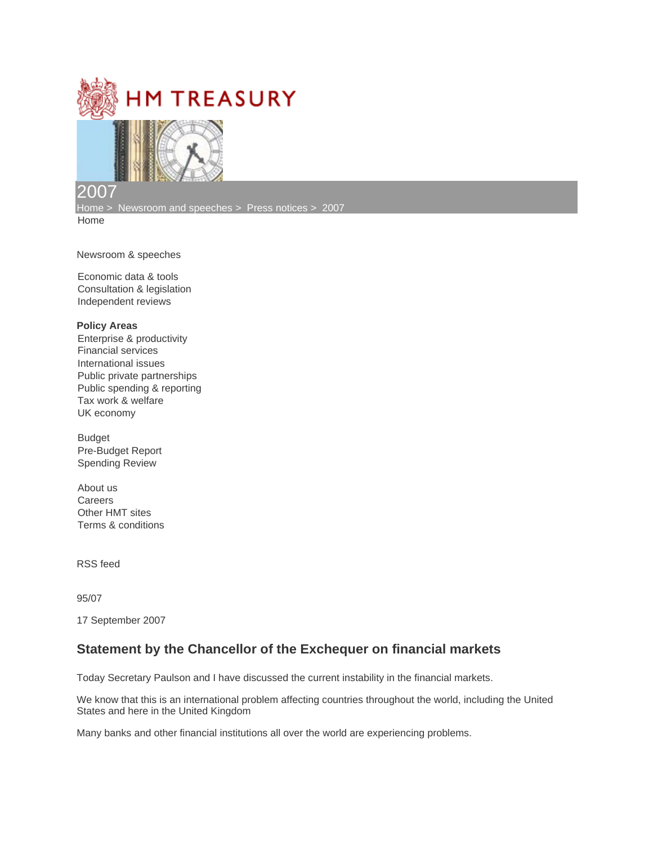



## 2007

[Home](https://webarchive.nationalarchives.gov.uk/ukgwa/20071104143702mp_/http:/www.hm-treasury.gov.uk/) > [Newsroom and speeches](https://webarchive.nationalarchives.gov.uk/ukgwa/20071104143702mp_/http:/www.hm-treasury.gov.uk/newsroom_and_speeches/newsroom_index.cfm) > [Press notices](https://webarchive.nationalarchives.gov.uk/ukgwa/20071104143702mp_/http:/www.hm-treasury.gov.uk/newsroom_and_speeches/press/press_index.cfm) > [2007](https://webarchive.nationalarchives.gov.uk/ukgwa/20071104143702mp_/http:/www.hm-treasury.gov.uk/newsroom_and_speeches/press/2007/press2007_index.cfm) [Home](https://webarchive.nationalarchives.gov.uk/ukgwa/20071104143702mp_/http:/www.hm-treasury.gov.uk/index.cfm)

[Newsroom & speeches](https://webarchive.nationalarchives.gov.uk/ukgwa/20071104143702mp_/http:/www.hm-treasury.gov.uk/newsroom_and_speeches/newsroom_index.cfm)

[Economic data & tools](https://webarchive.nationalarchives.gov.uk/ukgwa/20071104143702mp_/http:/www.hm-treasury.gov.uk/economic_data_and_tools/data_index.cfm) [Consultation & legislation](https://webarchive.nationalarchives.gov.uk/ukgwa/20071104143702mp_/http:/www.hm-treasury.gov.uk/Consultations_and_Legislation/consult_index.cfm) [Independent reviews](https://webarchive.nationalarchives.gov.uk/ukgwa/20071104143702mp_/http:/www.hm-treasury.gov.uk/Independent_Reviews/independent_reviews_index.cfm)

## **Policy Areas**

[Enterprise & productivity](https://webarchive.nationalarchives.gov.uk/ukgwa/20071104143702mp_/http:/www.hm-treasury.gov.uk/documents/enterprise_and_productivity/ent_index.cfm) [Financial services](https://webarchive.nationalarchives.gov.uk/ukgwa/20071104143702mp_/http:/www.hm-treasury.gov.uk/documents/financial_services/fin_index.cfm) [International issues](https://webarchive.nationalarchives.gov.uk/ukgwa/20071104143702mp_/http:/www.hm-treasury.gov.uk/documents/international_issues/int_index.cfm) [Public private partnerships](https://webarchive.nationalarchives.gov.uk/ukgwa/20071104143702mp_/http:/www.hm-treasury.gov.uk/documents/public_private_partnerships/ppp_index.cfm) [Public spending & reporting](https://webarchive.nationalarchives.gov.uk/ukgwa/20071104143702mp_/http:/www.hm-treasury.gov.uk/documents/public_spending_reporting/psr_index.cfm) [Tax work & welfare](https://webarchive.nationalarchives.gov.uk/ukgwa/20071104143702mp_/http:/www.hm-treasury.gov.uk/documents/taxation_work_and_welfare/tax_index.cfm) [UK economy](https://webarchive.nationalarchives.gov.uk/ukgwa/20071104143702mp_/http:/www.hm-treasury.gov.uk/documents/uk_economy/ukecon_index.cfm)

[Budget](https://webarchive.nationalarchives.gov.uk/ukgwa/20071104143702mp_/http:/www.hm-treasury.gov.uk/budget/budget_07/bud_bud07_index.cfm) [Pre-Budget Report](https://webarchive.nationalarchives.gov.uk/ukgwa/20071104143702mp_/http:/www.hm-treasury.gov.uk/pbr_csr/pbr_csr07_index.cfm) [Spending Review](https://webarchive.nationalarchives.gov.uk/ukgwa/20071104143702mp_/http:/www.hm-treasury.gov.uk/pbr_csr/pbr_csr07_index.cfm)

[About us](https://webarchive.nationalarchives.gov.uk/ukgwa/20071104143702mp_/http:/www.hm-treasury.gov.uk/about/about_index.cfm) **[Careers](https://webarchive.nationalarchives.gov.uk/ukgwa/20071104143702mp_/http:/www.hm-treasury.gov.uk/careers/career_index.cfm)** [Other HMT sites](https://webarchive.nationalarchives.gov.uk/ukgwa/20071104143702mp_/http:/www.hm-treasury.gov.uk/OtherHMTsites/otherhmt_index.cfm) [Terms & conditions](https://webarchive.nationalarchives.gov.uk/ukgwa/20071104143702mp_/http:/www.hm-treasury.gov.uk/about/termsandconditions/terms_and_conditions.cfm)

[RSS feed](https://webarchive.nationalarchives.gov.uk/ukgwa/20071104143702mp_/http:/www.hm-treasury.gov.uk/help/rss_index.cfm)

95/07

17 September 2007

## **Statement by the Chancellor of the Exchequer on financial markets**

Today Secretary Paulson and I have discussed the current instability in the financial markets.

We know that this is an international problem affecting countries throughout the world, including the United States and here in the United Kingdom

Many banks and other financial institutions all over the world are experiencing problems.